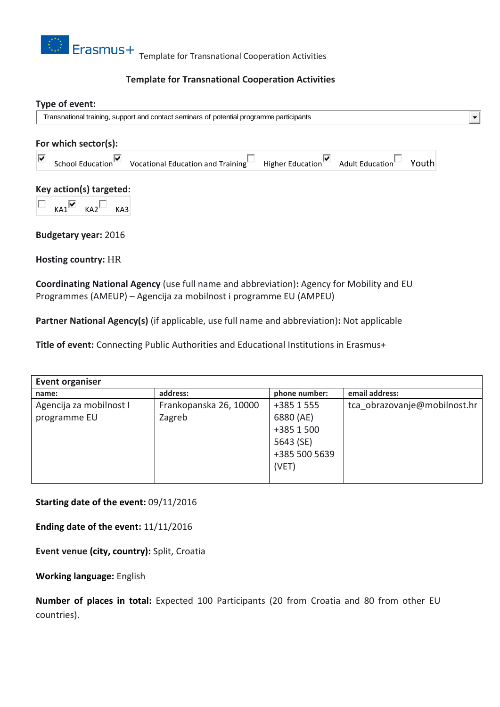

## **Template for Transnational Cooperation Activities**

# **Type of event:** Transnational training, support and contact seminars of potential programme participants  $\blacksquare$ **For which sector(s):** School Education  $\overline{\bullet}$  Vocational Education and Training Higher Education Adult Education Youth ⊽ **Key action(s) targeted:**  $KA1$ <sup>V</sup>  $KA2$ <sup>U</sup>  $KA3$ **Budgetary year:** 2016

**Hosting country:** HR

**Coordinating National Agency** (use full name and abbreviation)**:** Agency for Mobility and EU Programmes (AMEUP) – Agencija za mobilnost i programme EU (AMPEU)

**Partner National Agency(s)** (if applicable, use full name and abbreviation)**:** Not applicable

**Title of event:** Connecting Public Authorities and Educational Institutions in Erasmus+

| Event organiser         |                        |               |                              |
|-------------------------|------------------------|---------------|------------------------------|
| name:                   | address:               | phone number: | email address:               |
| Agencija za mobilnost I | Frankopanska 26, 10000 | +385 1 555    | tca obrazovanje@mobilnost.hr |
| programme EU            | Zagreb                 | 6880 (AE)     |                              |
|                         |                        | +385 1 500    |                              |
|                         |                        | 5643 (SE)     |                              |
|                         |                        | +385 500 5639 |                              |
|                         |                        | (VET)         |                              |
|                         |                        |               |                              |

**Starting date of the event:** 09/11/2016

**Ending date of the event:** 11/11/2016

**Event venue (city, country):** Split, Croatia

**Working language:** English

**Number of places in total:** Expected 100 Participants (20 from Croatia and 80 from other EU countries).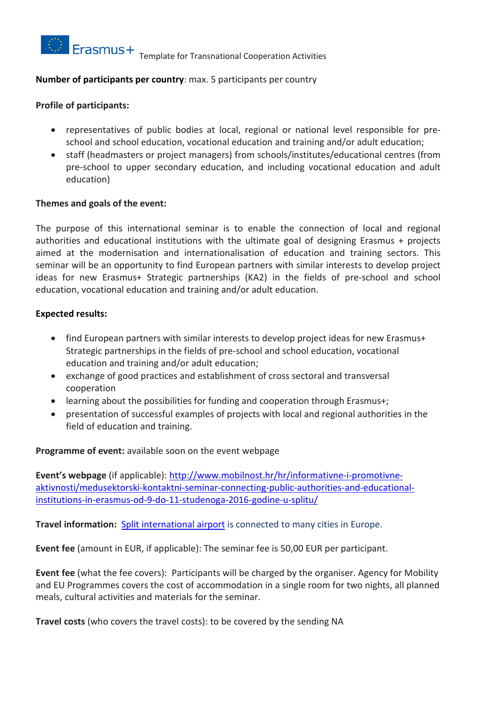

## **Number of participants per country**: max. 5 participants per country

## **Profile of participants:**

- representatives of public bodies at local, regional or national level responsible for preschool and school education, vocational education and training and/or adult education;
- staff (headmasters or project managers) from schools/institutes/educational centres (from pre-school to upper secondary education, and including vocational education and adult education)

#### **Themes and goals of the event:**

The purpose of this international seminar is to enable the connection of local and regional authorities and educational institutions with the ultimate goal of designing Erasmus + projects aimed at the modernisation and internationalisation of education and training sectors. This seminar will be an opportunity to find European partners with similar interests to develop project ideas for new Erasmus+ Strategic partnerships (KA2) in the fields of pre-school and school education, vocational education and training and/or adult education.

## **Expected results:**

- find European partners with similar interests to develop project ideas for new Erasmus+ Strategic partnerships in the fields of pre-school and school education, vocational education and training and/or adult education;
- exchange of good practices and establishment of cross sectoral and transversal cooperation
- learning about the possibilities for funding and cooperation through Erasmus+;
- presentation of successful examples of projects with local and regional authorities in the field of education and training.

#### **Programme of event:** available soon on the event webpage

**Event's webpage** (if applicable): [http://www.mobilnost.hr/hr/informativne-i-promotivne](http://www.mobilnost.hr/hr/informativne-i-promotivne-aktivnosti/medusektorski-kontaktni-seminar-connecting-public-authorities-and-educational-institutions-in-erasmus-od-9-do-11-studenoga-2016-godine-u-splitu/)[aktivnosti/medusektorski-kontaktni-seminar-connecting-public-authorities-and-educational](http://www.mobilnost.hr/hr/informativne-i-promotivne-aktivnosti/medusektorski-kontaktni-seminar-connecting-public-authorities-and-educational-institutions-in-erasmus-od-9-do-11-studenoga-2016-godine-u-splitu/)[institutions-in-erasmus-od-9-do-11-studenoga-2016-godine-u-splitu/](http://www.mobilnost.hr/hr/informativne-i-promotivne-aktivnosti/medusektorski-kontaktni-seminar-connecting-public-authorities-and-educational-institutions-in-erasmus-od-9-do-11-studenoga-2016-godine-u-splitu/)

**Travel information:** Split [international](http://www.split-airport.hr/index.php?lang=en) airport is connected to many cities in Europe.

**Event fee** (amount in EUR, if applicable): The seminar fee is 50,00 EUR per participant.

**Event fee** (what the fee covers): Participants will be charged by the organiser. Agency for Mobility and EU Programmes covers the cost of accommodation in a single room for two nights, all planned meals, cultural activities and materials for the seminar.

**Travel costs** (who covers the travel costs): to be covered by the sending NA